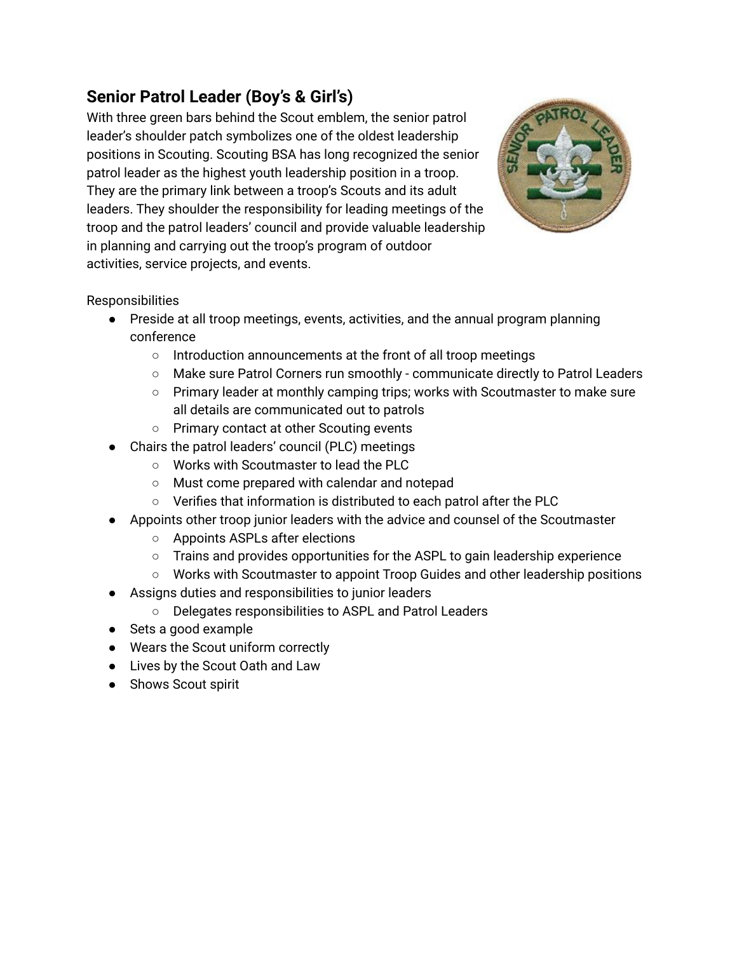## **Senior Patrol Leader (Boy's & Girl's)**

With three green bars behind the Scout emblem, the senior patrol leader's shoulder patch symbolizes one of the oldest leadership positions in Scouting. Scouting BSA has long recognized the senior patrol leader as the highest youth leadership position in a troop. They are the primary link between a troop's Scouts and its adult leaders. They shoulder the responsibility for leading meetings of the troop and the patrol leaders' council and provide valuable leadership in planning and carrying out the troop's program of outdoor activities, service projects, and events.



**Responsibilities** 

- Preside at all troop meetings, events, activities, and the annual program planning conference
	- Introduction announcements at the front of all troop meetings
	- Make sure Patrol Corners run smoothly communicate directly to Patrol Leaders
	- Primary leader at monthly camping trips; works with Scoutmaster to make sure all details are communicated out to patrols
	- Primary contact at other Scouting events
- Chairs the patrol leaders' council (PLC) meetings
	- Works with Scoutmaster to lead the PLC
	- Must come prepared with calendar and notepad
	- Verifies that information is distributed to each patrol after the PLC
- Appoints other troop junior leaders with the advice and counsel of the Scoutmaster
	- Appoints ASPLs after elections
	- Trains and provides opportunities for the ASPL to gain leadership experience
	- Works with Scoutmaster to appoint Troop Guides and other leadership positions
- Assigns duties and responsibilities to junior leaders
	- Delegates responsibilities to ASPL and Patrol Leaders
- Sets a good example
- Wears the Scout uniform correctly
- Lives by the Scout Oath and Law
- Shows Scout spirit